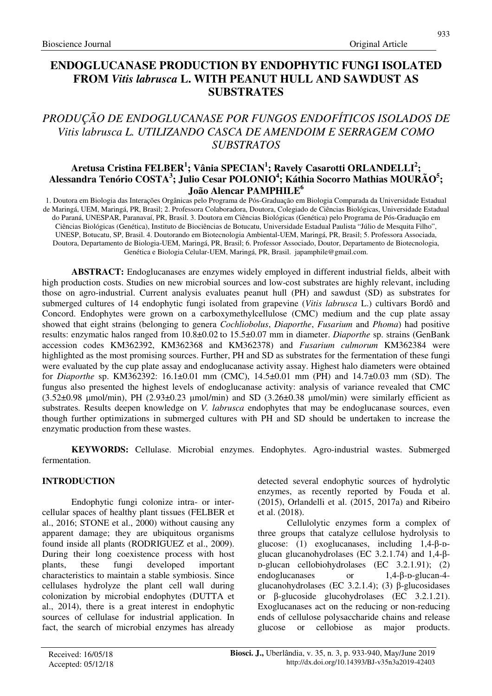# **ENDOGLUCANASE PRODUCTION BY ENDOPHYTIC FUNGI ISOLATED FROM** *Vitis labrusca* **L. WITH PEANUT HULL AND SAWDUST AS SUBSTRATES**

# *PRODUÇÃO DE ENDOGLUCANASE POR FUNGOS ENDOFÍTICOS ISOLADOS DE Vitis labrusca L. UTILIZANDO CASCA DE AMENDOIM E SERRAGEM COMO SUBSTRATOS*

## **Aretusa Cristina FELBER<sup>1</sup> ; Vânia SPECIAN<sup>1</sup> ; Ravely Casarotti ORLANDELLI<sup>2</sup> ; Alessandra Tenório COSTA<sup>3</sup> ; Julio Cesar POLONIO<sup>4</sup> ; Káthia Socorro Mathias MOURÃO<sup>5</sup> ; João Alencar PAMPHILE<sup>6</sup>**

1. Doutora em Biologia das Interações Orgânicas pelo Programa de Pós-Graduação em Biologia Comparada da Universidade Estadual de Maringá, UEM, Maringá, PR, Brasil; 2. Professora Colaboradora, Doutora, Colegiado de Ciências Biológicas, Universidade Estadual do Paraná, UNESPAR, Paranavaí, PR, Brasil. 3. Doutora em Ciências Biológicas (Genética) pelo Programa de Pós-Graduação em Ciências Biológicas (Genética), Instituto de Biociências de Botucatu, Universidade Estadual Paulista "Júlio de Mesquita Filho", UNESP, Botucatu, SP, Brasil. 4. Doutorando em Biotecnologia Ambiental-UEM, Maringá, PR, Brasil; 5. Professora Associada, Doutora, Departamento de Biologia-UEM, Maringá, PR, Brasil; 6. Professor Associado, Doutor, Departamento de Biotecnologia, Genética e Biologia Celular-UEM, Maringá, PR, Brasil. japamphile@gmail.com.

**ABSTRACT:** Endoglucanases are enzymes widely employed in different industrial fields, albeit with high production costs. Studies on new microbial sources and low-cost substrates are highly relevant, including those on agro-industrial. Current analysis evaluates peanut hull (PH) and sawdust (SD) as substrates for submerged cultures of 14 endophytic fungi isolated from grapevine (*Vitis labrusca* L.) cultivars Bordô and Concord. Endophytes were grown on a carboxymethylcellulose (CMC) medium and the cup plate assay showed that eight strains (belonging to genera *Cochliobolus*, *Diaporthe*, *Fusarium* and *Phoma*) had positive results: enzymatic halos ranged from 10.8±0.02 to 15.5±0.07 mm in diameter. *Diaporthe* sp. strains (GenBank accession codes KM362392, KM362368 and KM362378) and *Fusarium culmorum* KM362384 were highlighted as the most promising sources. Further, PH and SD as substrates for the fermentation of these fungi were evaluated by the cup plate assay and endoglucanase activity assay. Highest halo diameters were obtained for *Diaporthe* sp. KM362392: 16.1±0.01 mm (CMC), 14.5±0.01 mm (PH) and 14.7±0.03 mm (SD). The fungus also presented the highest levels of endoglucanase activity: analysis of variance revealed that CMC  $(3.52\pm0.98 \text{ \mu mol/min})$ , PH  $(2.93\pm0.23 \text{ \mu mol/min})$  and SD  $(3.26\pm0.38 \text{ \mu mol/min})$  were similarly efficient as substrates. Results deepen knowledge on *V. labrusca* endophytes that may be endoglucanase sources, even though further optimizations in submerged cultures with PH and SD should be undertaken to increase the enzymatic production from these wastes.

**KEYWORDS:** Cellulase. Microbial enzymes. Endophytes. Agro-industrial wastes. Submerged fermentation.

## **INTRODUCTION**

Endophytic fungi colonize intra- or intercellular spaces of healthy plant tissues (FELBER et al., 2016; STONE et al., 2000) without causing any apparent damage; they are ubiquitous organisms found inside all plants (RODRIGUEZ et al., 2009). During their long coexistence process with host plants, these fungi developed important characteristics to maintain a stable symbiosis. Since cellulases hydrolyze the plant cell wall during colonization by microbial endophytes (DUTTA et al., 2014), there is a great interest in endophytic sources of cellulase for industrial application. In fact, the search of microbial enzymes has already detected several endophytic sources of hydrolytic enzymes, as recently reported by Fouda et al. (2015), Orlandelli et al. (2015, 2017a) and Ribeiro et al. (2018).

Cellulolytic enzymes form a complex of three groups that catalyze cellulose hydrolysis to glucose: (1) exoglucanases, including  $1,4-\beta-D$ glucan glucanohydrolases (EC 3.2.1.74) and 1,4-βᴅ-glucan cellobiohydrolases (EC 3.2.1.91); (2) endoglucanases or  $1.4 - B - D$ -glucan-4glucanohydrolases (EC 3.2.1.4); (3) β-glucosidases or β-glucoside glucohydrolases (EC 3.2.1.21). Exoglucanases act on the reducing or non-reducing ends of cellulose polysaccharide chains and release glucose or cellobiose as major products.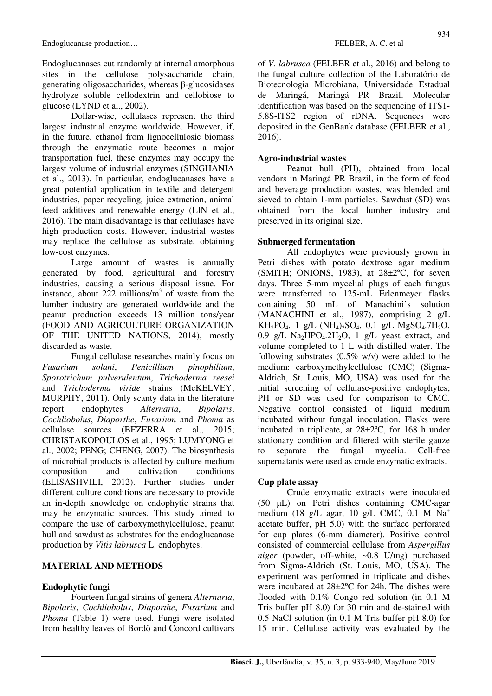Endoglucanases cut randomly at internal amorphous sites in the cellulose polysaccharide chain, generating oligosaccharides, whereas β-glucosidases hydrolyze soluble cellodextrin and cellobiose to glucose (LYND et al., 2002).

Dollar-wise, cellulases represent the third largest industrial enzyme worldwide. However, if, in the future, ethanol from lignocellulosic biomass through the enzymatic route becomes a major transportation fuel, these enzymes may occupy the largest volume of industrial enzymes (SINGHANIA et al., 2013). In particular, endoglucanases have a great potential application in textile and detergent industries, paper recycling, juice extraction, animal feed additives and renewable energy (LIN et al., 2016). The main disadvantage is that cellulases have high production costs. However, industrial wastes may replace the cellulose as substrate, obtaining low-cost enzymes.

Large amount of wastes is annually generated by food, agricultural and forestry industries, causing a serious disposal issue. For instance, about 222 millions/ $m<sup>3</sup>$  of waste from the lumber industry are generated worldwide and the peanut production exceeds 13 million tons/year (FOOD AND AGRICULTURE ORGANIZATION OF THE UNITED NATIONS, 2014), mostly discarded as waste.

Fungal cellulase researches mainly focus on *Fusarium solani*, *Penicillium pinophilium*, *Sporotrichum pulverulentum*, *Trichoderma reesei* and *Trichoderma viride* strains (McKELVEY; MURPHY, 2011). Only scanty data in the literature report endophytes *Alternaria*, *Bipolaris*, *Cochliobolus*, *Diaporthe*, *Fusarium* and *Phoma* as cellulase sources (BEZERRA et al., 2015; CHRISTAKOPOULOS et al., 1995; LUMYONG et al., 2002; PENG; CHENG, 2007). The biosynthesis of microbial products is affected by culture medium composition and cultivation conditions (ELISASHVILI, 2012). Further studies under different culture conditions are necessary to provide an in-depth knowledge on endophytic strains that may be enzymatic sources. This study aimed to compare the use of carboxymethylcellulose, peanut hull and sawdust as substrates for the endoglucanase production by *Vitis labrusca* L. endophytes.

## **MATERIAL AND METHODS**

# **Endophytic fungi**

Fourteen fungal strains of genera *Alternaria*, *Bipolaris*, *Cochliobolus*, *Diaporthe*, *Fusarium* and *Phoma* (Table 1) were used. Fungi were isolated from healthy leaves of Bordô and Concord cultivars of *V. labrusca* (FELBER et al., 2016) and belong to the fungal culture collection of the Laboratório de Biotecnologia Microbiana, Universidade Estadual de Maringá, Maringá PR Brazil. Molecular identification was based on the sequencing of ITS1-5.8S-ITS2 region of rDNA. Sequences were deposited in the GenBank database (FELBER et al., 2016).

## **Agro-industrial wastes**

Peanut hull (PH), obtained from local vendors in Maringá PR Brazil, in the form of food and beverage production wastes, was blended and sieved to obtain 1-mm particles. Sawdust (SD) was obtained from the local lumber industry and preserved in its original size.

## **Submerged fermentation**

All endophytes were previously grown in Petri dishes with potato dextrose agar medium (SMITH; ONIONS, 1983), at  $28\pm2\degree$ C, for seven days. Three 5-mm mycelial plugs of each fungus were transferred to 125-mL Erlenmeyer flasks containing 50 mL of Manachini's solution (MANACHINI et al., 1987), comprising 2 g/L  $KH_2PO_4$ , 1 g/L (NH<sub>4</sub>)<sub>2</sub>SO<sub>4</sub>, 0.1 g/L MgSO<sub>4</sub>.7H<sub>2</sub>O, 0.9 g/L Na<sub>2</sub>HPO<sub>4</sub>.2H<sub>2</sub>O, 1 g/L yeast extract, and volume completed to 1 L with distilled water. The following substrates (0.5% w/v) were added to the medium: carboxymethylcellulose (CMC) (Sigma-Aldrich, St. Louis, MO, USA) was used for the initial screening of cellulase-positive endophytes; PH or SD was used for comparison to CMC. Negative control consisted of liquid medium incubated without fungal inoculation. Flasks were incubated in triplicate, at 28±2ºC, for 168 h under stationary condition and filtered with sterile gauze to separate the fungal mycelia. Cell-free supernatants were used as crude enzymatic extracts.

## **Cup plate assay**

Crude enzymatic extracts were inoculated (50 µL) on Petri dishes containing CMC-agar medium (18 g/L agar, 10 g/L CMC, 0.1 M Na<sup>+</sup> acetate buffer, pH 5.0) with the surface perforated for cup plates (6-mm diameter). Positive control consisted of commercial cellulase from *Aspergillus niger* (powder, off-white, ~0.8 U/mg) purchased from Sigma-Aldrich (St. Louis, MO, USA). The experiment was performed in triplicate and dishes were incubated at 28±2ºC for 24h. The dishes were flooded with 0.1% Congo red solution (in 0.1 M Tris buffer pH 8.0) for 30 min and de-stained with 0.5 NaCl solution (in 0.1 M Tris buffer pH 8.0) for 15 min. Cellulase activity was evaluated by the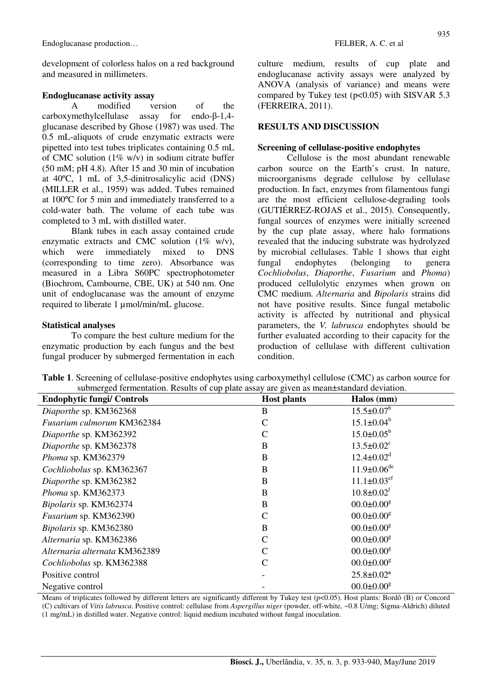Endoglucanase production… FELBER, A. C. et al

development of colorless halos on a red background and measured in millimeters.

#### **Endoglucanase activity assay**

A modified version of the carboxymethylcellulase assay for endo-β-1,4 glucanase described by Ghose (1987) was used. The 0.5 mL-aliquots of crude enzymatic extracts were pipetted into test tubes triplicates containing 0.5 mL of CMC solution (1% w/v) in sodium citrate buffer (50 mM; pH 4.8). After 15 and 30 min of incubation at 40ºC, 1 mL of 3,5-dinitrosalicylic acid (DNS) (MILLER et al., 1959) was added. Tubes remained at 100ºC for 5 min and immediately transferred to a cold-water bath. The volume of each tube was completed to 3 mL with distilled water.

Blank tubes in each assay contained crude enzymatic extracts and CMC solution  $(1\% \text{ w/v})$ , which were immediately mixed to DNS (corresponding to time zero). Absorbance was measured in a Libra S60PC spectrophotometer (Biochrom, Cambourne, CBE, UK) at 540 nm. One unit of endoglucanase was the amount of enzyme required to liberate 1 µmol/min/mL glucose.

#### **Statistical analyses**

To compare the best culture medium for the enzymatic production by each fungus and the best fungal producer by submerged fermentation in each culture medium, results of cup plate and endoglucanase activity assays were analyzed by ANOVA (analysis of variance) and means were compared by Tukey test  $(p<0.05)$  with SISVAR 5.3 (FERREIRA, 2011).

#### **RESULTS AND DISCUSSION**

#### **Screening of cellulase-positive endophytes**

Cellulose is the most abundant renewable carbon source on the Earth's crust. In nature, microorganisms degrade cellulose by cellulase production. In fact, enzymes from filamentous fungi are the most efficient cellulose-degrading tools (GUTIÉRREZ-ROJAS et al., 2015). Consequently, fungal sources of enzymes were initially screened by the cup plate assay, where halo formations revealed that the inducing substrate was hydrolyzed by microbial cellulases. Table 1 shows that eight fungal endophytes (belonging to genera *Cochliobolus*, *Diaporthe*, *Fusarium* and *Phoma*) produced cellulolytic enzymes when grown on CMC medium. *Alternaria* and *Bipolaris* strains did not have positive results. Since fungal metabolic activity is affected by nutritional and physical parameters, the *V. labrusca* endophytes should be further evaluated according to their capacity for the production of cellulase with different cultivation condition.

| <b>Host plants</b> | Halos (mm)                    |
|--------------------|-------------------------------|
| B                  | $15.5 \pm 0.07$ <sup>b</sup>  |
| $\mathcal{C}$      | $15.1 \pm 0.04^b$             |
| $\mathcal{C}$      | $15.0 \pm 0.05^b$             |
| B                  | $13.5 \pm 0.02$ <sup>c</sup>  |
| B                  | $12.4 \pm 0.02^d$             |
| B                  | $11.9 \pm 0.06$ <sup>de</sup> |
| B                  | $11.1 \pm 0.03$ <sup>ef</sup> |
| B                  | $10.8 \pm 0.02$ <sup>f</sup>  |
| B                  | $00.0 \pm 0.00$ <sup>g</sup>  |
| $\mathcal{C}$      | $00.0 \pm 0.00$ <sup>g</sup>  |
| $\, {\bf B}$       | $00.0 \pm 0.00$ <sup>g</sup>  |
| $\mathcal{C}$      | $00.0 \pm 0.00$ <sup>g</sup>  |
| $\mathbf C$        | $00.0 \pm 0.00$ <sup>g</sup>  |
| $\mathcal{C}$      | $00.0 \pm 0.00$ <sup>g</sup>  |
|                    | $25.8 \pm 0.02^a$             |
|                    | $00.0 \pm 0.00$ <sup>g</sup>  |
|                    |                               |

**Table 1**. Screening of cellulase-positive endophytes using carboxymethyl cellulose (CMC) as carbon source for submerged fermentation. Results of cup plate assay are given as mean±standard deviation.

Means of triplicates followed by different letters are significantly different by Tukey test (p<0.05). Host plants: Bordô (B) or Concord (C) cultivars of *Vitis labrusca*. Positive control: cellulase from *Aspergillus niger* (powder, off-white, ~0.8 U/mg; Sigma-Aldrich) diluted (1 mg/mL) in distilled water. Negative control: liquid medium incubated without fungal inoculation.

935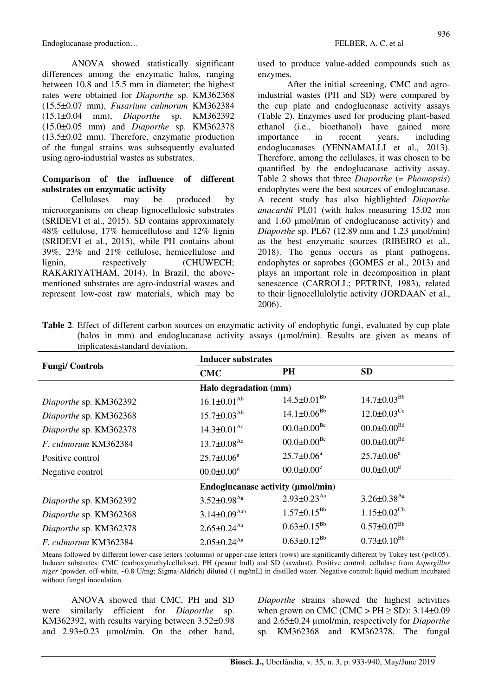Endoglucanase production… FELBER, A. C. et al

ANOVA showed statistically significant differences among the enzymatic halos, ranging between 10.8 and 15.5 mm in diameter; the highest rates were obtained for *Diaporthe* sp. KM362368 (15.5±0.07 mm), *Fusarium culmorum* KM362384 (15.1±0.04 mm), *Diaporthe* sp. KM362392 (15.0±0.05 mm) and *Diaporthe* sp. KM362378 (13.5±0.02 mm). Therefore, enzymatic production of the fungal strains was subsequently evaluated using agro-industrial wastes as substrates.

#### **Comparison of the influence of different substrates on enzymatic activity**

Cellulases may be produced by microorganisms on cheap lignocellulosic substrates (SRIDEVI et al., 2015). SD contains approximately 48% cellulose, 17% hemicellulose and 12% lignin (SRIDEVI et al., 2015), while PH contains about 39%, 23% and 21% cellulose, hemicellulose and lignin, respectively (CHUWECH; RAKARIYATHAM, 2014). In Brazil, the abovementioned substrates are agro-industrial wastes and represent low-cost raw materials, which may be used to produce value-added compounds such as enzymes.

After the initial screening, CMC and agroindustrial wastes (PH and SD) were compared by the cup plate and endoglucanase activity assays (Table 2). Enzymes used for producing plant-based ethanol (i.e., bioethanol) have gained more importance in recent years, including endoglucanases (YENNAMALLI et al., 2013). Therefore, among the cellulases, it was chosen to be quantified by the endoglucanase activity assay. Table 2 shows that three *Diaporthe* (= *Phomopsis*) endophytes were the best sources of endoglucanase. A recent study has also highlighted *Diaporthe anacardii* PL01 (with halos measuring 15.02 mm and 1.60 µmol/min of endoglucanase activity) and *Diaporthe* sp. PL67 (12.89 mm and 1.23  $\mu$ mol/min) as the best enzymatic sources (RIBEIRO et al., 2018). The genus occurs as plant pathogens, endophytes or saprobes (GOMES et al., 2013) and plays an important role in decomposition in plant senescence (CARROLL; PETRINI, 1983), related to their lignocellulolytic activity (JORDAAN et al., 2006).

| $unprecaves = sum and or random.$ |                                   |                               |                               |  |
|-----------------------------------|-----------------------------------|-------------------------------|-------------------------------|--|
|                                   | <b>Inducer substrates</b>         |                               |                               |  |
| <b>Fungi/Controls</b>             | <b>CMC</b>                        | PH                            | <b>SD</b>                     |  |
|                                   | Halo degradation (mm)             |                               |                               |  |
| Diaporthe sp. KM362392            | $16.1 \pm 0.01^{Ab}$              | $14.5 \pm 0.01^{\rm Bb}$      | $14.7 \pm 0.03^{Bb}$          |  |
| Diaporthe sp. KM362368            | $15.7 \pm 0.03^{Ab}$              | $14.1 \pm 0.06^{Bb}$          | $12.0 \pm 0.03$ <sup>Cc</sup> |  |
| Diaporthe sp. KM362378            | $14.3 \pm 0.01$ <sup>Ac</sup>     | $00.0 \pm 0.00^{Bc}$          | $00.0 \pm 0.00^{Bd}$          |  |
| F. culmorum KM362384              | $13.7 \pm 0.08$ <sup>Ac</sup>     | $00.0 \pm 0.00^{Bc}$          | $00.0 \pm 0.00^{Bd}$          |  |
| Positive control                  | $25.7 \pm 0.06^a$                 | $25.7 \pm 0.06^a$             | $25.7 \pm 0.06^a$             |  |
| Negative control                  | $00.0 \pm 0.00$ <sup>d</sup>      | $00.0 \pm 0.00$ <sup>c</sup>  | $00.0 \pm 0.00$ <sup>d</sup>  |  |
|                                   | Endoglucanase activity (µmol/min) |                               |                               |  |
| Diaporthe sp. KM362392            | $3.52 \pm 0.98$ <sup>Aa</sup>     | $2.93 \pm 0.23$ <sup>Aa</sup> | $3.26 \pm 0.38$ <sup>Aa</sup> |  |
| Diaporthe sp. KM362368            | $3.14 \pm 0.09$ <sup>Aab</sup>    | $1.57 \pm 0.15^{Bb}$          | $1.15 \pm 0.02^{\text{Cb}}$   |  |
| Diaporthe sp. KM362378            | $2.65 \pm 0.24$ <sup>Aa</sup>     | $0.63 \pm 0.15^{Bb}$          | $0.57 \pm 0.07^{Bb}$          |  |
| F. culmorum KM362384              | $2.05 \pm 0.24$ <sup>Aa</sup>     | $0.63 \pm 0.12^{Bb}$          | $0.73 \pm 0.10^{Bb}$          |  |

**Table 2**. Effect of different carbon sources on enzymatic activity of endophytic fungi, evaluated by cup plate (halos in mm) and endoglucanase activity assays (µmol/min). Results are given as means of triplicates±standard deviation.

Means followed by different lower-case letters (columns) or upper-case letters (rows) are significantly different by Tukey test (p<0.05). Inducer substrates: CMC (carboxymethylcellulose), PH (peanut hull) and SD (sawdust). Positive control: cellulase from *Aspergillus niger* (powder, off-white, ~0.8 U/mg; Sigma-Aldrich) diluted (1 mg/mL) in distilled water. Negative control: liquid medium incubated without fungal inoculation.

ANOVA showed that CMC, PH and SD were similarly efficient for *Diaporthe* sp. KM362392, with results varying between  $3.52\pm0.98$ and 2.93±0.23 µmol/min. On the other hand, *Diaporthe* strains showed the highest activities when grown on CMC (CMC > PH  $\ge$  SD): 3.14 $\pm$ 0.09 and 2.65±0.24 µmol/min, respectively for *Diaporthe*  sp. KM362368 and KM362378. The fungal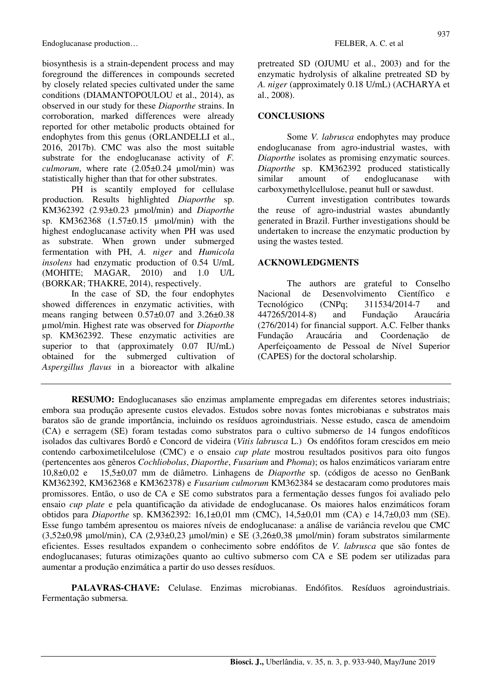Endoglucanase production… FELBER, A. C. et al.

biosynthesis is a strain-dependent process and may foreground the differences in compounds secreted by closely related species cultivated under the same conditions (DIAMANTOPOULOU et al., 2014), as observed in our study for these *Diaporthe* strains. In corroboration, marked differences were already reported for other metabolic products obtained for endophytes from this genus (ORLANDELLI et al., 2016, 2017b). CMC was also the most suitable substrate for the endoglucanase activity of *F. culmorum*, where rate (2.05±0.24 µmol/min) was statistically higher than that for other substrates.

PH is scantily employed for cellulase production. Results highlighted *Diaporthe* sp. KM362392 (2.93±0.23 µmol/min) and *Diaporthe* sp. KM362368 (1.57±0.15 µmol/min) with the highest endoglucanase activity when PH was used as substrate. When grown under submerged fermentation with PH, *A. niger* and *Humicola insolens* had enzymatic production of 0.54 U/mL (MOHITE; MAGAR, 2010) and 1.0 U/L (BORKAR; THAKRE, 2014), respectively.

In the case of SD, the four endophytes showed differences in enzymatic activities, with means ranging between 0.57±0.07 and 3.26±0.38 µmol/min. Highest rate was observed for *Diaporthe*  sp. KM362392. These enzymatic activities are superior to that (approximately 0.07 IU/mL) obtained for the submerged cultivation of *Aspergillus flavus* in a bioreactor with alkaline pretreated SD (OJUMU et al., 2003) and for the enzymatic hydrolysis of alkaline pretreated SD by *A. niger* (approximately 0.18 U/mL) (ACHARYA et al., 2008).

### **CONCLUSIONS**

Some *V. labrusca* endophytes may produce endoglucanase from agro-industrial wastes, with *Diaporthe* isolates as promising enzymatic sources. *Diaporthe* sp. KM362392 produced statistically similar amount of endoglucanase with carboxymethylcellulose, peanut hull or sawdust.

Current investigation contributes towards the reuse of agro-industrial wastes abundantly generated in Brazil. Further investigations should be undertaken to increase the enzymatic production by using the wastes tested.

## **ACKNOWLEDGMENTS**

The authors are grateful to Conselho Nacional de Desenvolvimento Científico e Tecnológico (CNPq; 311534/2014-7 and 447265/2014-8) and Fundação Araucária (276/2014) for financial support. A.C. Felber thanks Fundação Araucária and Coordenação de Aperfeiçoamento de Pessoal de Nível Superior (CAPES) for the doctoral scholarship.

**RESUMO:** Endoglucanases são enzimas amplamente empregadas em diferentes setores industriais; embora sua produção apresente custos elevados. Estudos sobre novas fontes microbianas e substratos mais baratos são de grande importância, incluindo os resíduos agroindustriais. Nesse estudo, casca de amendoim (CA) e serragem (SE) foram testadas como substratos para o cultivo submerso de 14 fungos endofíticos isolados das cultivares Bordô e Concord de videira (*Vitis labrusca* L.) Os endófitos foram crescidos em meio contendo carboximetilcelulose (CMC) e o ensaio *cup plate* mostrou resultados positivos para oito fungos (pertencentes aos gêneros *Cochliobolus*, *Diaporthe*, *Fusarium* and *Phoma*); os halos enzimáticos variaram entre 10,8±0,02 e 15,5±0,07 mm de diâmetro. Linhagens de *Diaporthe* sp. (códigos de acesso no GenBank KM362392, KM362368 e KM362378) e *Fusarium culmorum* KM362384 se destacaram como produtores mais promissores. Então, o uso de CA e SE como substratos para a fermentação desses fungos foi avaliado pelo ensaio *cup plate* e pela quantificação da atividade de endoglucanase. Os maiores halos enzimáticos foram obtidos para *Diaporthe* sp. KM362392: 16,1±0,01 mm (CMC), 14,5±0,01 mm (CA) e 14,7±0,03 mm (SE). Esse fungo também apresentou os maiores níveis de endoglucanase: a análise de variância revelou que CMC (3,52±0,98 µmol/min), CA (2,93±0,23 µmol/min) e SE (3,26±0,38 µmol/min) foram substratos similarmente eficientes. Esses resultados expandem o conhecimento sobre endófitos de *V. labrusca* que são fontes de endoglucanases; futuras otimizações quanto ao cultivo submerso com CA e SE podem ser utilizadas para aumentar a produção enzimática a partir do uso desses resíduos.

**PALAVRAS-CHAVE:** Celulase. Enzimas microbianas. Endófitos. Resíduos agroindustriais. Fermentação submersa.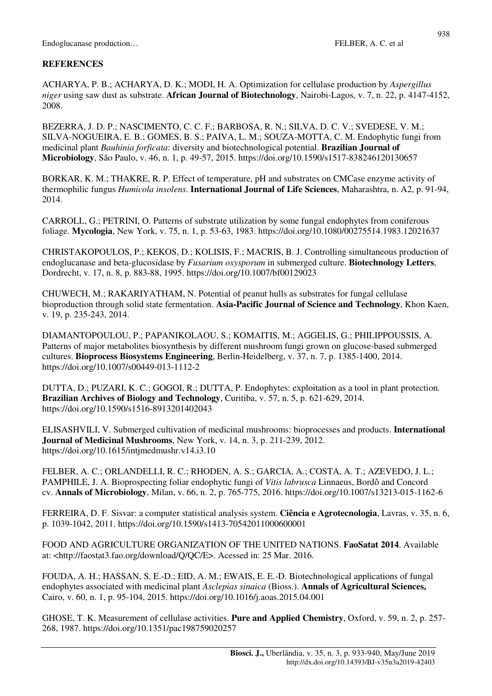## **REFERENCES**

ACHARYA, P. B.; ACHARYA, D. K.; MODI, H. A. Optimization for cellulase production by *Aspergillus niger* using saw dust as substrate. **African Journal of Biotechnology**, Nairobi-Lagos, v. 7, n. 22, p. 4147-4152, 2008.

BEZERRA, J. D. P.; NASCIMENTO, C. C. F.; BARBOSA, R. N.; SILVA, D. C. V.; SVEDESE, V. M.; SILVA-NOGUEIRA, E. B.; GOMES, B. S.; PAIVA, L. M.; SOUZA-MOTTA, C. M. Endophytic fungi from medicinal plant *Bauhinia forficata*: diversity and biotechnological potential. **Brazilian Journal of Microbiology**, São Paulo, v. 46, n. 1, p. 49-57, 2015. https://doi.org/10.1590/s1517-838246120130657

BORKAR, K. M.; THAKRE, R. P. Effect of temperature, pH and substrates on CMCase enzyme activity of thermophilic fungus *Humicola insolens*. **International Journal of Life Sciences**, Maharashtra, n. A2, p. 91-94, 2014.

CARROLL, G.; PETRINI, O. Patterns of substrate utilization by some fungal endophytes from coniferous foliage. **Mycologia**, New York, v. 75, n. 1, p. 53-63, 1983. https://doi.org/10.1080/00275514.1983.12021637

CHRISTAKOPOULOS, P.; KEKOS, D.; KOLISIS, F.; MACRIS, B. J. Controlling simultaneous production of endoglucanase and beta-glucosidase by *Fusarium oxysporum* in submerged culture. **Biotechnology Letters**, Dordrecht, v. 17, n. 8, p. 883-88, 1995. https://doi.org/10.1007/bf00129023

CHUWECH, M.; RAKARIYATHAM, N. Potential of peanut hulls as substrates for fungal cellulase bioproduction through solid state fermentation. **Asia-Pacific Journal of Science and Technology**, Khon Kaen, v. 19, p. 235-243, 2014.

DIAMANTOPOULOU, P.; PAPANIKOLAOU, S.; KOMAITIS, M.; AGGELIS, G.; PHILIPPOUSSIS, A. Patterns of major metabolites biosynthesis by different mushroom fungi grown on glucose-based submerged cultures. **Bioprocess Biosystems Engineering**, Berlin-Heidelberg, v. 37, n. 7, p. 1385-1400, 2014. https://doi.org/10.1007/s00449-013-1112-2

DUTTA, D.; PUZARI, K. C.; GOGOI, R.; DUTTA, P. Endophytes: exploitation as a tool in plant protection. **Brazilian Archives of Biology and Technology**, Curitiba, v. 57, n. 5, p. 621-629, 2014. https://doi.org/10.1590/s1516-8913201402043

ELISASHVILI, V. Submerged cultivation of medicinal mushrooms: bioprocesses and products. **International Journal of Medicinal Mushrooms**, New York, v. 14, n. 3, p. 211-239, 2012. https://doi.org/10.1615/intjmedmushr.v14.i3.10

FELBER, A. C.; ORLANDELLI, R. C.; RHODEN, A. S.; GARCIA, A.; COSTA, A. T.; AZEVEDO, J. L.; PAMPHILE, J. A. Bioprospecting foliar endophytic fungi of *Vitis labrusca* Linnaeus, Bordô and Concord cv. **Annals of Microbiology**, Milan, v. 66, n. 2, p. 765-775, 2016. https://doi.org/10.1007/s13213-015-1162-6

FERREIRA, D. F. Sisvar: a computer statistical analysis system. **Ciência e Agrotecnologia**, Lavras, v. 35, n. 6, p. 1039-1042, 2011. https://doi.org/10.1590/s1413-70542011000600001

FOOD AND AGRICULTURE ORGANIZATION OF THE UNITED NATIONS. **FaoSatat 2014**. Available at: <http://faostat3.fao.org/download/Q/QC/E>. Acessed in: 25 Mar. 2016.

FOUDA, A. H.; HASSAN, S. E.-D.; EID, A. M.; EWAIS, E. E.-D. Biotechnological applications of fungal endophytes associated with medicinal plant *Asclepias sinaica* (Bioss.). **Annals of Agricultural Sciences,** Cairo, v. 60, n. 1, p. 95-104, 2015. https://doi.org/10.1016/j.aoas.2015.04.001

GHOSE, T. K. Measurement of cellulase activities. **Pure and Applied Chemistry**, Oxford, v. 59, n. 2, p. 257- 268, 1987. https://doi.org/10.1351/pac198759020257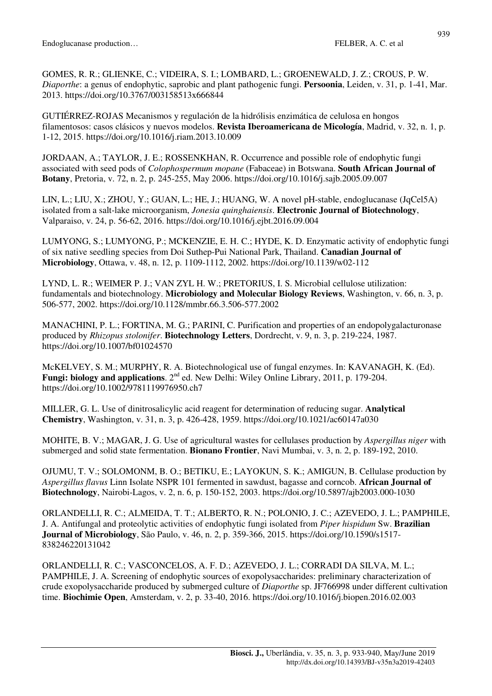GOMES, R. R.; GLIENKE, C.; VIDEIRA, S. I.; LOMBARD, L.; GROENEWALD, J. Z.; CROUS, P. W. *Diaporthe*: a genus of endophytic, saprobic and plant pathogenic fungi. **Persoonia**, Leiden, v. 31, p. 1-41, Mar. 2013. https://doi.org/10.3767/003158513x666844

GUTIÉRREZ-ROJAS Mecanismos y regulación de la hidrólisis enzimática de celulosa en hongos filamentosos: casos clásicos y nuevos modelos. **Revista Iberoamericana de Micología**, Madrid, v. 32, n. 1, p. 1-12, 2015. https://doi.org/10.1016/j.riam.2013.10.009

JORDAAN, A.; TAYLOR, J. E.; ROSSENKHAN, R. Occurrence and possible role of endophytic fungi associated with seed pods of *Colophospermum mopane* (Fabaceae) in Botswana. **South African Journal of Botany**, Pretoria, v. 72, n. 2, p. 245-255, May 2006. https://doi.org/10.1016/j.sajb.2005.09.007

LIN, L.; LIU, X.; ZHOU, Y.; GUAN, L.; HE, J.; HUANG, W. A novel pH-stable, endoglucanase (JqCel5A) isolated from a salt-lake microorganism, *Jonesia quinghaiensis*. **Electronic Journal of Biotechnology**, Valparaiso, v. 24, p. 56-62, 2016. https://doi.org/10.1016/j.ejbt.2016.09.004

LUMYONG, S.; LUMYONG, P.; MCKENZIE, E. H. C.; HYDE, K. D. Enzymatic activity of endophytic fungi of six native seedling species from Doi Suthep-Pui National Park, Thailand. **Canadian Journal of Microbiology**, Ottawa, v. 48, n. 12, p. 1109-1112, 2002. https://doi.org/10.1139/w02-112

LYND, L. R.; WEIMER P. J.; VAN ZYL H. W.; PRETORIUS, I. S. Microbial cellulose utilization: fundamentals and biotechnology. **Microbiology and Molecular Biology Reviews**, Washington, v. 66, n. 3, p. 506-577, 2002. https://doi.org/10.1128/mmbr.66.3.506-577.2002

MANACHINI, P. L.; FORTINA, M. G.; PARINI, C. Purification and properties of an endopolygalacturonase produced by *Rhizopus stolonifer*. **Biotechnology Letters**, Dordrecht, v. 9, n. 3, p. 219-224, 1987. https://doi.org/10.1007/bf01024570

McKELVEY, S. M.; MURPHY, R. A. Biotechnological use of fungal enzymes. In: KAVANAGH, K. (Ed). **Fungi: biology and applications.** 2<sup>nd</sup> ed. New Delhi: Wiley Online Library, 2011, p. 179-204. https://doi.org/10.1002/9781119976950.ch7

MILLER, G. L. Use of dinitrosalicylic acid reagent for determination of reducing sugar. **Analytical Chemistry**, Washington, v. 31, n. 3, p. 426-428, 1959. https://doi.org/10.1021/ac60147a030

MOHITE, B. V.; MAGAR, J. G. Use of agricultural wastes for cellulases production by *Aspergillus niger* with submerged and solid state fermentation. **Bionano Frontier**, Navi Mumbai, v. 3, n. 2, p. 189-192, 2010.

OJUMU, T. V.; SOLOMONM, B. O.; BETIKU, E.; LAYOKUN, S. K.; AMIGUN, B. Cellulase production by *Aspergillus flavus* Linn Isolate NSPR 101 fermented in sawdust, bagasse and corncob. **African Journal of Biotechnology**, Nairobi-Lagos, v. 2, n. 6, p. 150-152, 2003. https://doi.org/10.5897/ajb2003.000-1030

ORLANDELLI, R. C.; ALMEIDA, T. T.; ALBERTO, R. N.; POLONIO, J. C.; AZEVEDO, J. L.; PAMPHILE, J. A. Antifungal and proteolytic activities of endophytic fungi isolated from *Piper hispidum* Sw. **Brazilian Journal of Microbiology**, São Paulo, v. 46, n. 2, p. 359-366, 2015. https://doi.org/10.1590/s1517- 838246220131042

ORLANDELLI, R. C.; VASCONCELOS, A. F. D.; AZEVEDO, J. L.; CORRADI DA SILVA, M. L.; PAMPHILE, J. A. Screening of endophytic sources of exopolysaccharides: preliminary characterization of crude exopolysaccharide produced by submerged culture of *Diaporthe* sp. JF766998 under different cultivation time. **Biochimie Open**, Amsterdam, v. 2, p. 33-40, 2016. https://doi.org/10.1016/j.biopen.2016.02.003